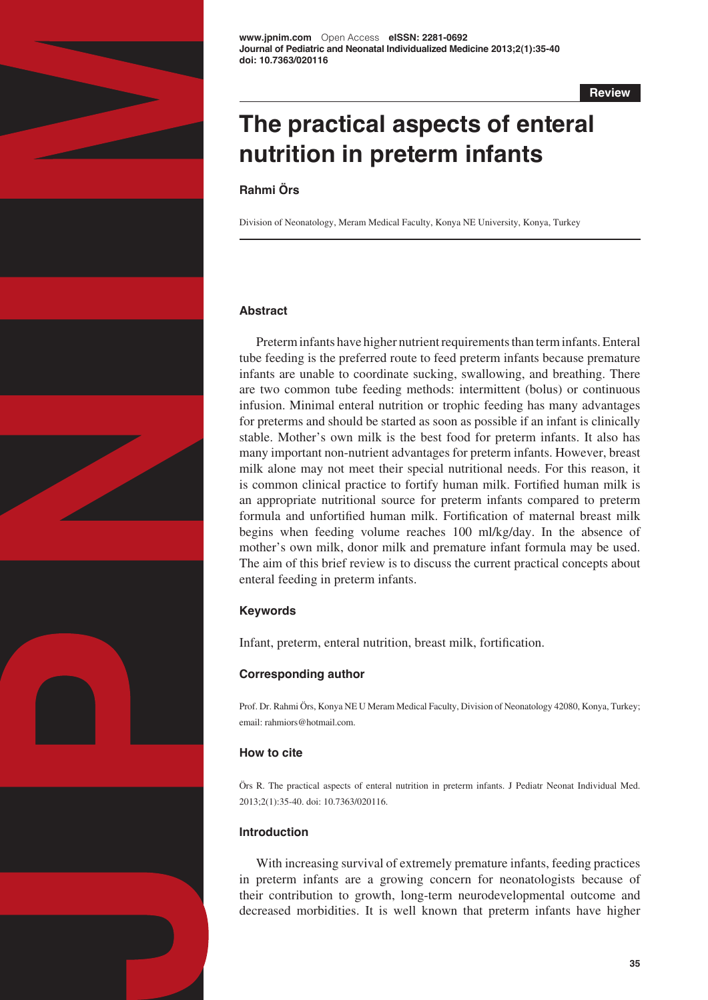

**Review**

# **The practical aspects of enteral nutrition in preterm infants**

# **Rahmi Örs**

Division of Neonatology, Meram Medical Faculty, Konya NE University, Konya, Turkey

# **Abstract**

Preterm infants have higher nutrient requirements than term infants. Enteral tube feeding is the preferred route to feed preterm infants because premature infants are unable to coordinate sucking, swallowing, and breathing. There are two common tube feeding methods: intermittent (bolus) or continuous infusion. Minimal enteral nutrition or trophic feeding has many advantages for preterms and should be started as soon as possible if an infant is clinically stable. Mother's own milk is the best food for preterm infants. It also has many important non-nutrient advantages for preterm infants. However, breast milk alone may not meet their special nutritional needs. For this reason, it is common clinical practice to fortify human milk. Fortified human milk is an appropriate nutritional source for preterm infants compared to preterm formula and unfortified human milk. Fortification of maternal breast milk begins when feeding volume reaches 100 ml/kg/day. In the absence of mother's own milk, donor milk and premature infant formula may be used. The aim of this brief review is to discuss the current practical concepts about enteral feeding in preterm infants.

# **Keywords**

Infant, preterm, enteral nutrition, breast milk, fortification.

# **Corresponding author**

Prof. Dr. Rahmi Örs, Konya NE U Meram Medical Faculty, Division of Neonatology 42080, Konya, Turkey; email: rahmiors@hotmail.com.

# **How to cite**

Örs R. The practical aspects of enteral nutrition in preterm infants. J Pediatr Neonat Individual Med. 2013;2(1):35-40. doi: 10.7363/020116.

# **Introduction**

With increasing survival of extremely premature infants, feeding practices in preterm infants are a growing concern for neonatologists because of their contribution to growth, long-term neurodevelopmental outcome and decreased morbidities. It is well known that preterm infants have higher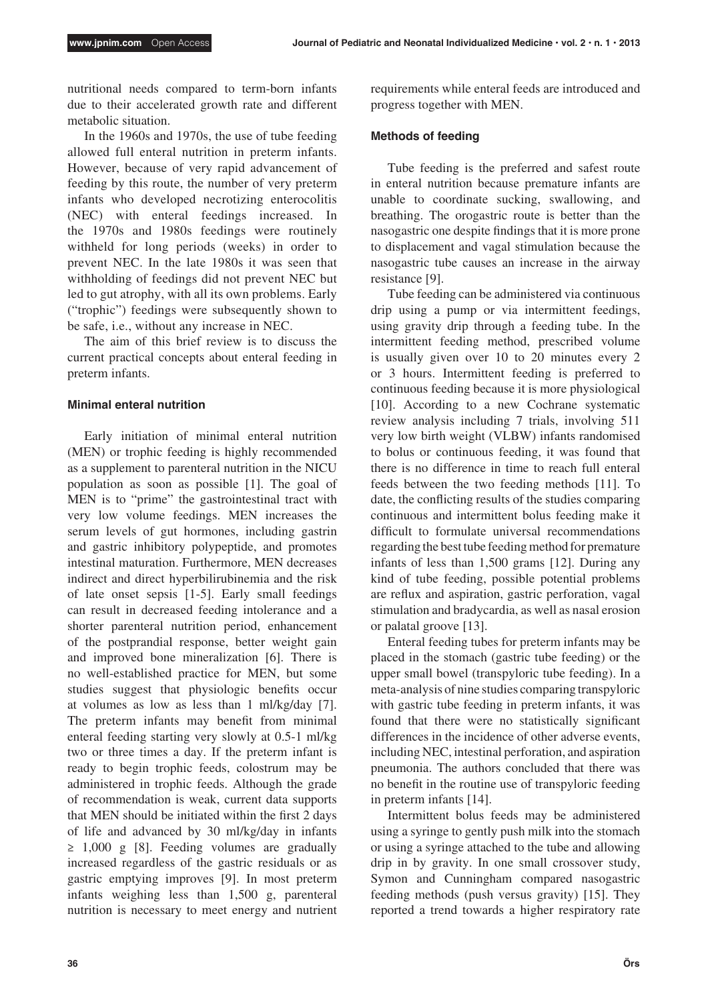nutritional needs compared to term-born infants due to their accelerated growth rate and different metabolic situation.

In the 1960s and 1970s, the use of tube feeding allowed full enteral nutrition in preterm infants. However, because of very rapid advancement of feeding by this route, the number of very preterm infants who developed necrotizing enterocolitis (NEC) with enteral feedings increased. In the 1970s and 1980s feedings were routinely withheld for long periods (weeks) in order to prevent NEC. In the late 1980s it was seen that withholding of feedings did not prevent NEC but led to gut atrophy, with all its own problems. Early ("trophic") feedings were subsequently shown to be safe, i.e., without any increase in NEC.

The aim of this brief review is to discuss the current practical concepts about enteral feeding in preterm infants.

### **Minimal enteral nutrition**

Early initiation of minimal enteral nutrition (MEN) or trophic feeding is highly recommended as a supplement to parenteral nutrition in the NICU population as soon as possible [1]. The goal of MEN is to "prime" the gastrointestinal tract with very low volume feedings. MEN increases the serum levels of gut hormones, including gastrin and gastric inhibitory polypeptide, and promotes intestinal maturation. Furthermore, MEN decreases indirect and direct hyperbilirubinemia and the risk of late onset sepsis [1-5]. Early small feedings can result in decreased feeding intolerance and a shorter parenteral nutrition period, enhancement of the postprandial response, better weight gain and improved bone mineralization [6]. There is no well-established practice for MEN, but some studies suggest that physiologic benefits occur at volumes as low as less than 1 ml/kg/day [7]. The preterm infants may benefit from minimal enteral feeding starting very slowly at 0.5-1 ml/kg two or three times a day. If the preterm infant is ready to begin trophic feeds, colostrum may be administered in trophic feeds. Although the grade of recommendation is weak, current data supports that MEN should be initiated within the first 2 days of life and advanced by 30 ml/kg/day in infants ≥ 1,000 g [8]. Feeding volumes are gradually increased regardless of the gastric residuals or as gastric emptying improves [9]. In most preterm infants weighing less than 1,500 g, parenteral nutrition is necessary to meet energy and nutrient requirements while enteral feeds are introduced and progress together with MEN.

## **Methods of feeding**

Tube feeding is the preferred and safest route in enteral nutrition because premature infants are unable to coordinate sucking, swallowing, and breathing. The orogastric route is better than the nasogastric one despite findings that it is more prone to displacement and vagal stimulation because the nasogastric tube causes an increase in the airway resistance [9].

Tube feeding can be administered via continuous drip using a pump or via intermittent feedings, using gravity drip through a feeding tube. In the intermittent feeding method, prescribed volume is usually given over 10 to 20 minutes every 2 or 3 hours. Intermittent feeding is preferred to continuous feeding because it is more physiological [10]. According to a new Cochrane systematic review analysis including 7 trials, involving 511 very low birth weight (VLBW) infants randomised to bolus or continuous feeding, it was found that there is no difference in time to reach full enteral feeds between the two feeding methods [11]. To date, the conflicting results of the studies comparing continuous and intermittent bolus feeding make it difficult to formulate universal recommendations regarding the best tube feeding method for premature infants of less than 1,500 grams [12]. During any kind of tube feeding, possible potential problems are reflux and aspiration, gastric perforation, vagal stimulation and bradycardia, as well as nasal erosion or palatal groove [13].

Enteral feeding tubes for preterm infants may be placed in the stomach (gastric tube feeding) or the upper small bowel (transpyloric tube feeding). In a meta-analysis of nine studies comparing transpyloric with gastric tube feeding in preterm infants, it was found that there were no statistically significant differences in the incidence of other adverse events, including NEC, intestinal perforation, and aspiration pneumonia. The authors concluded that there was no benefit in the routine use of transpyloric feeding in preterm infants [14].

Intermittent bolus feeds may be administered using a syringe to gently push milk into the stomach or using a syringe attached to the tube and allowing drip in by gravity. In one small crossover study, Symon and Cunningham compared nasogastric feeding methods (push versus gravity) [15]. They reported a trend towards a higher respiratory rate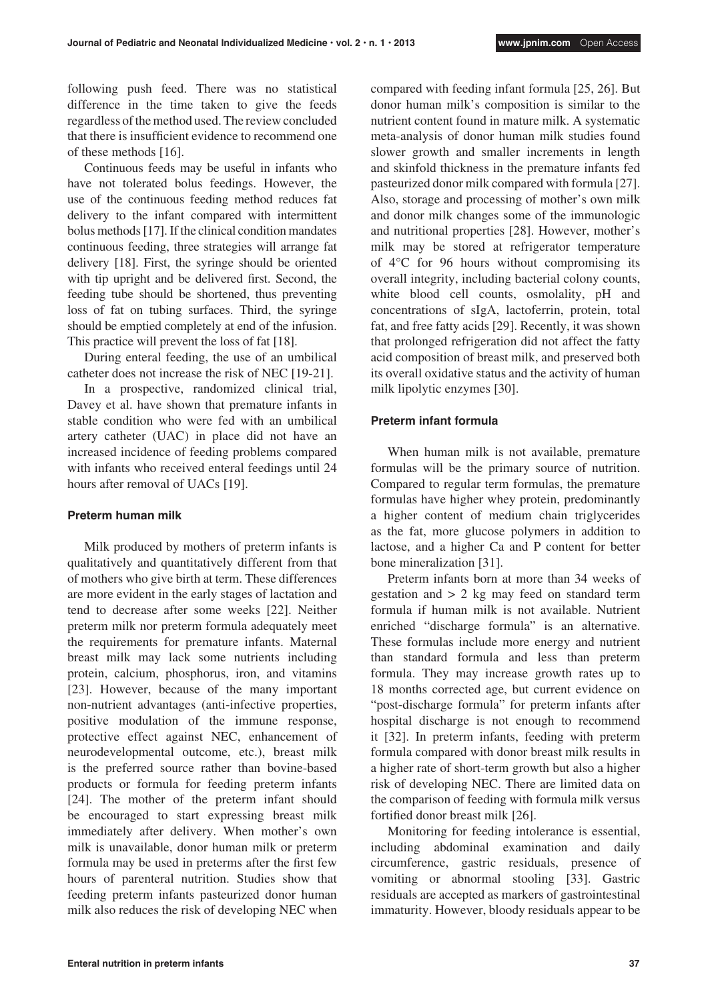following push feed. There was no statistical difference in the time taken to give the feeds regardless of the method used. The review concluded that there is insufficient evidence to recommend one of these methods [16].

Continuous feeds may be useful in infants who have not tolerated bolus feedings. However, the use of the continuous feeding method reduces fat delivery to the infant compared with intermittent bolus methods [17]. If the clinical condition mandates continuous feeding, three strategies will arrange fat delivery [18]. First, the syringe should be oriented with tip upright and be delivered first. Second, the feeding tube should be shortened, thus preventing loss of fat on tubing surfaces. Third, the syringe should be emptied completely at end of the infusion. This practice will prevent the loss of fat [18].

During enteral feeding, the use of an umbilical catheter does not increase the risk of NEC [19-21].

In a prospective, randomized clinical trial, Davey et al. have shown that premature infants in stable condition who were fed with an umbilical artery catheter (UAC) in place did not have an increased incidence of feeding problems compared with infants who received enteral feedings until 24 hours after removal of UACs [19].

#### **Preterm human milk**

Milk produced by mothers of preterm infants is qualitatively and quantitatively different from that of mothers who give birth at term. These differences are more evident in the early stages of lactation and tend to decrease after some weeks [22]. Neither preterm milk nor preterm formula adequately meet the requirements for premature infants. Maternal breast milk may lack some nutrients including protein, calcium, phosphorus, iron, and vitamins [23]. However, because of the many important non-nutrient advantages (anti-infective properties, positive modulation of the immune response, protective effect against NEC, enhancement of neurodevelopmental outcome, etc.), breast milk is the preferred source rather than bovine-based products or formula for feeding preterm infants [24]. The mother of the preterm infant should be encouraged to start expressing breast milk immediately after delivery. When mother's own milk is unavailable, donor human milk or preterm formula may be used in preterms after the first few hours of parenteral nutrition. Studies show that feeding preterm infants pasteurized donor human milk also reduces the risk of developing NEC when

compared with feeding infant formula [25, 26]. But donor human milk's composition is similar to the nutrient content found in mature milk. A systematic meta-analysis of donor human milk studies found slower growth and smaller increments in length and skinfold thickness in the premature infants fed pasteurized donor milk compared with formula [27]. Also, storage and processing of mother's own milk and donor milk changes some of the immunologic and nutritional properties [28]. However, mother's milk may be stored at refrigerator temperature of 4°C for 96 hours without compromising its overall integrity, including bacterial colony counts, white blood cell counts, osmolality, pH and concentrations of sIgA, lactoferrin, protein, total fat, and free fatty acids [29]. Recently, it was shown that prolonged refrigeration did not affect the fatty acid composition of breast milk, and preserved both its overall oxidative status and the activity of human milk lipolytic enzymes [30].

## **Preterm infant formula**

When human milk is not available, premature formulas will be the primary source of nutrition. Compared to regular term formulas, the premature formulas have higher whey protein, predominantly a higher content of medium chain triglycerides as the fat, more glucose polymers in addition to lactose, and a higher Ca and P content for better bone mineralization [31].

Preterm infants born at more than 34 weeks of gestation and > 2 kg may feed on standard term formula if human milk is not available. Nutrient enriched "discharge formula" is an alternative. These formulas include more energy and nutrient than standard formula and less than preterm formula. They may increase growth rates up to 18 months corrected age, but current evidence on "post-discharge formula" for preterm infants after hospital discharge is not enough to recommend it [32]. In preterm infants, feeding with preterm formula compared with donor breast milk results in a higher rate of short-term growth but also a higher risk of developing NEC. There are limited data on the comparison of feeding with formula milk versus fortified donor breast milk [26].

Monitoring for feeding intolerance is essential, including abdominal examination and daily circumference, gastric residuals, presence of vomiting or abnormal stooling [33]. Gastric residuals are accepted as markers of gastrointestinal immaturity. However, bloody residuals appear to be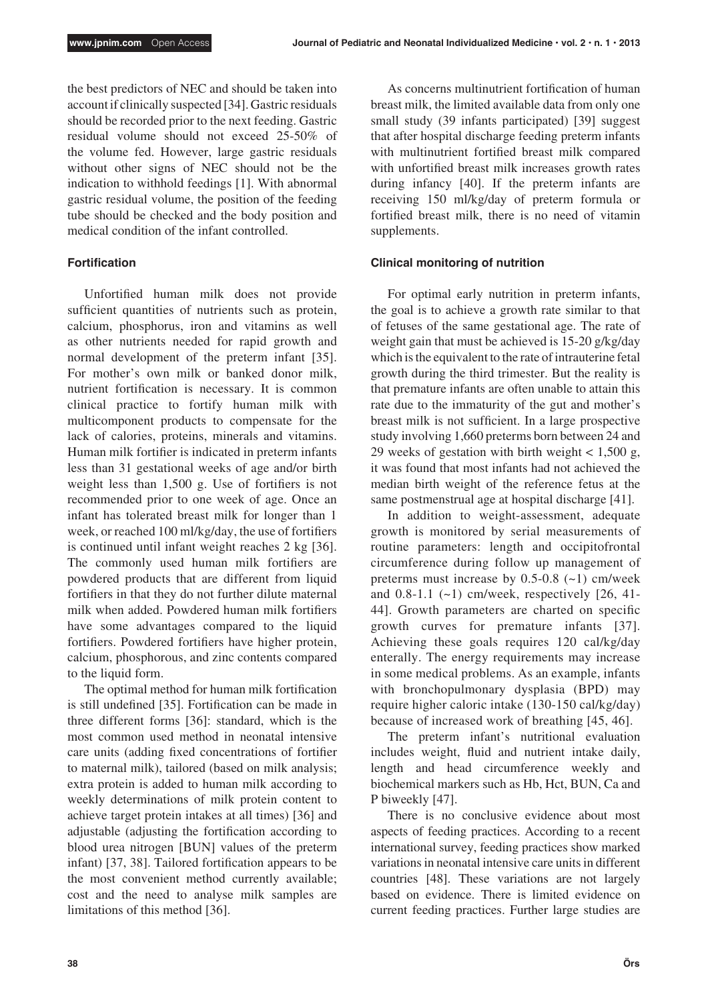the best predictors of NEC and should be taken into account if clinically suspected [34]. Gastric residuals should be recorded prior to the next feeding. Gastric residual volume should not exceed 25-50% of the volume fed. However, large gastric residuals without other signs of NEC should not be the indication to withhold feedings [1]. With abnormal gastric residual volume, the position of the feeding tube should be checked and the body position and medical condition of the infant controlled.

### **Fortification**

Unfortified human milk does not provide sufficient quantities of nutrients such as protein, calcium, phosphorus, iron and vitamins as well as other nutrients needed for rapid growth and normal development of the preterm infant [35]. For mother's own milk or banked donor milk, nutrient fortification is necessary. It is common clinical practice to fortify human milk with multicomponent products to compensate for the lack of calories, proteins, minerals and vitamins. Human milk fortifier is indicated in preterm infants less than 31 gestational weeks of age and/or birth weight less than 1,500 g. Use of fortifiers is not recommended prior to one week of age. Once an infant has tolerated breast milk for longer than 1 week, or reached 100 ml/kg/day, the use of fortifiers is continued until infant weight reaches 2 kg [36]. The commonly used human milk fortifiers are powdered products that are different from liquid fortifiers in that they do not further dilute maternal milk when added. Powdered human milk fortifiers have some advantages compared to the liquid fortifiers. Powdered fortifiers have higher protein, calcium, phosphorous, and zinc contents compared to the liquid form.

The optimal method for human milk fortification is still undefined [35]. Fortification can be made in three different forms [36]: standard, which is the most common used method in neonatal intensive care units (adding fixed concentrations of fortifier to maternal milk), tailored (based on milk analysis; extra protein is added to human milk according to weekly determinations of milk protein content to achieve target protein intakes at all times) [36] and adjustable (adjusting the fortification according to blood urea nitrogen [BUN] values of the preterm infant) [37, 38]. Tailored fortification appears to be the most convenient method currently available; cost and the need to analyse milk samples are limitations of this method [36].

As concerns multinutrient fortification of human breast milk, the limited available data from only one small study (39 infants participated) [39] suggest that after hospital discharge feeding preterm infants with multinutrient fortified breast milk compared with unfortified breast milk increases growth rates during infancy [40]. If the preterm infants are receiving 150 ml/kg/day of preterm formula or fortified breast milk, there is no need of vitamin supplements.

#### **Clinical monitoring of nutrition**

For optimal early nutrition in preterm infants, the goal is to achieve a growth rate similar to that of fetuses of the same gestational age. The rate of weight gain that must be achieved is 15-20 g/kg/day which is the equivalent to the rate of intrauterine fetal growth during the third trimester. But the reality is that premature infants are often unable to attain this rate due to the immaturity of the gut and mother's breast milk is not sufficient. In a large prospective study involving 1,660 preterms born between 24 and 29 weeks of gestation with birth weight  $< 1,500$  g, it was found that most infants had not achieved the median birth weight of the reference fetus at the same postmenstrual age at hospital discharge [41].

In addition to weight-assessment, adequate growth is monitored by serial measurements of routine parameters: length and occipitofrontal circumference during follow up management of preterms must increase by  $0.5$ -0.8 (~1) cm/week and  $0.8-1.1$  ( $\sim$ 1) cm/week, respectively [26, 41-44]. Growth parameters are charted on specific growth curves for premature infants [37]. Achieving these goals requires 120 cal/kg/day enterally. The energy requirements may increase in some medical problems. As an example, infants with bronchopulmonary dysplasia (BPD) may require higher caloric intake (130-150 cal/kg/day) because of increased work of breathing [45, 46].

The preterm infant's nutritional evaluation includes weight, fluid and nutrient intake daily, length and head circumference weekly and biochemical markers such as Hb, Hct, BUN, Ca and P biweekly [47].

There is no conclusive evidence about most aspects of feeding practices. According to a recent international survey, feeding practices show marked variations in neonatal intensive care units in different countries [48]. These variations are not largely based on evidence. There is limited evidence on current feeding practices. Further large studies are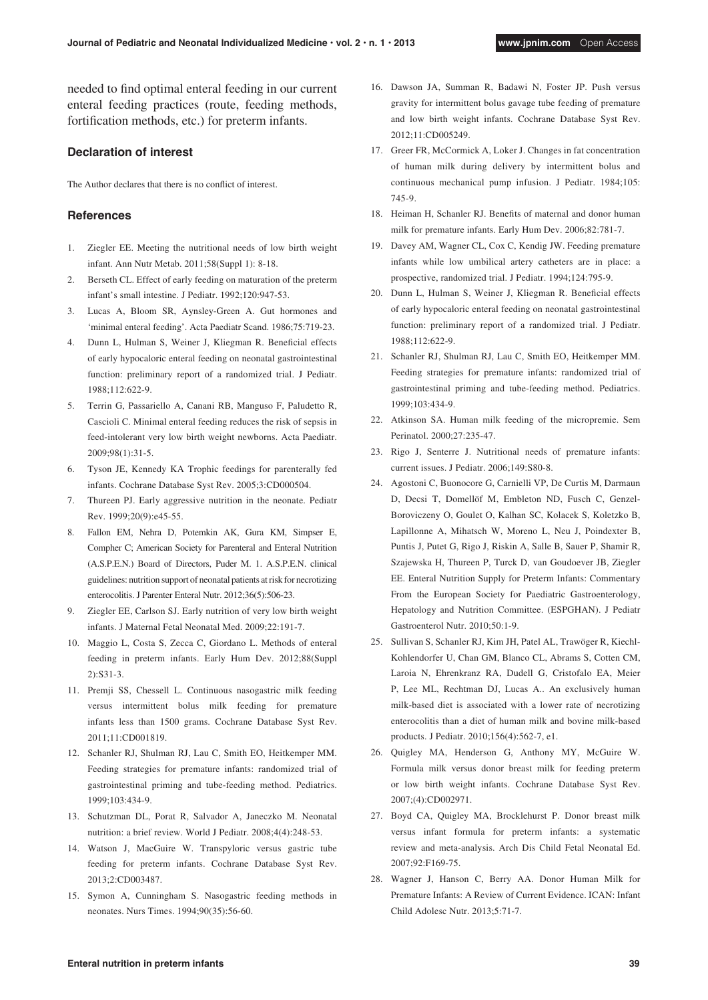needed to find optimal enteral feeding in our current enteral feeding practices (route, feeding methods, fortification methods, etc.) for preterm infants.

### **Declaration of interest**

The Author declares that there is no conflict of interest.

#### **References**

- 1. Ziegler EE. Meeting the nutritional needs of low birth weight infant. Ann Nutr Metab. 2011;58(Suppl 1): 8-18.
- 2. Berseth CL. Effect of early feeding on maturation of the preterm infant's small intestine. J Pediatr. 1992;120:947-53.
- 3. Lucas A, Bloom SR, Aynsley-Green A. Gut hormones and 'minimal enteral feeding'. Acta Paediatr Scand. 1986;75:719-23.
- 4. Dunn L, Hulman S, Weiner J, Kliegman R. Beneficial effects of early hypocaloric enteral feeding on neonatal gastrointestinal function: preliminary report of a randomized trial. J Pediatr. 1988;112:622-9.
- 5. Terrin G, Passariello A, Canani RB, Manguso F, Paludetto R, Cascioli C. Minimal enteral feeding reduces the risk of sepsis in feed-intolerant very low birth weight newborns. Acta Paediatr. 2009;98(1):31-5.
- 6. Tyson JE, Kennedy KA Trophic feedings for parenterally fed infants. Cochrane Database Syst Rev. 2005;3:CD000504.
- 7. Thureen PJ. Early aggressive nutrition in the neonate. Pediatr Rev. 1999;20(9):e45-55.
- 8. Fallon EM, Nehra D, Potemkin AK, Gura KM, Simpser E, Compher C; American Society for Parenteral and Enteral Nutrition (A.S.P.E.N.) Board of Directors, Puder M. 1. A.S.P.E.N. clinical guidelines: nutrition support of neonatal patients at risk for necrotizing enterocolitis. J Parenter Enteral Nutr. 2012;36(5):506-23.
- 9. Ziegler EE, Carlson SJ. Early nutrition of very low birth weight infants. J Maternal Fetal Neonatal Med. 2009;22:191-7.
- 10. Maggio L, Costa S, Zecca C, Giordano L. Methods of enteral feeding in preterm infants. Early Hum Dev. 2012;88(Suppl 2):S31-3.
- 11. Premji SS, Chessell L. Continuous nasogastric milk feeding versus intermittent bolus milk feeding for premature infants less than 1500 grams. Cochrane Database Syst Rev. 2011;11:CD001819.
- 12. Schanler RJ, Shulman RJ, Lau C, Smith EO, Heitkemper MM. Feeding strategies for premature infants: randomized trial of gastrointestinal priming and tube-feeding method. Pediatrics. 1999;103:434-9.
- 13. Schutzman DL, Porat R, Salvador A, Janeczko M. Neonatal nutrition: a brief review. World J Pediatr. 2008;4(4):248-53.
- 14. Watson J, MacGuire W. Transpyloric versus gastric tube feeding for preterm infants. Cochrane Database Syst Rev. 2013;2:CD003487.
- 15. Symon A, Cunningham S. Nasogastric feeding methods in neonates. Nurs Times. 1994;90(35):56-60.
- 16. Dawson JA, Summan R, Badawi N, Foster JP. Push versus gravity for intermittent bolus gavage tube feeding of premature and low birth weight infants. Cochrane Database Syst Rev. 2012;11:CD005249.
- 17. Greer FR, McCormick A, Loker J. Changes in fat concentration of human milk during delivery by intermittent bolus and continuous mechanical pump infusion. J Pediatr. 1984;105: 745-9.
- 18. Heiman H, Schanler RJ. Benefits of maternal and donor human milk for premature infants. Early Hum Dev. 2006;82:781-7.
- 19. Davey AM, Wagner CL, Cox C, Kendig JW. Feeding premature infants while low umbilical artery catheters are in place: a prospective, randomized trial. J Pediatr. 1994;124:795-9.
- 20. Dunn L, Hulman S, Weiner J, Kliegman R. Beneficial effects of early hypocaloric enteral feeding on neonatal gastrointestinal function: preliminary report of a randomized trial. J Pediatr. 1988;112:622-9.
- 21. Schanler RJ, Shulman RJ, Lau C, Smith EO, Heitkemper MM. Feeding strategies for premature infants: randomized trial of gastrointestinal priming and tube-feeding method. Pediatrics. 1999;103:434-9.
- 22. Atkinson SA. Human milk feeding of the micropremie. Sem Perinatol. 2000;27:235-47.
- 23. Rigo J, Senterre J. Nutritional needs of premature infants: current issues. J Pediatr. 2006;149:S80-8.
- 24. Agostoni C, Buonocore G, Carnielli VP, De Curtis M, Darmaun D, Decsi T, Domellöf M, Embleton ND, Fusch C, Genzel-Boroviczeny O, Goulet O, Kalhan SC, Kolacek S, Koletzko B, Lapillonne A, Mihatsch W, Moreno L, Neu J, Poindexter B, Puntis J, Putet G, Rigo J, Riskin A, Salle B, Sauer P, Shamir R, Szajewska H, Thureen P, Turck D, van Goudoever JB, Ziegler EE. Enteral Nutrition Supply for Preterm Infants: Commentary From the European Society for Paediatric Gastroenterology, Hepatology and Nutrition Committee. (ESPGHAN). J Pediatr Gastroenterol Nutr. 2010;50:1-9.
- 25. Sullivan S, Schanler RJ, Kim JH, Patel AL, Trawöger R, Kiechl-Kohlendorfer U, Chan GM, Blanco CL, Abrams S, Cotten CM, Laroia N, Ehrenkranz RA, Dudell G, Cristofalo EA, Meier P, Lee ML, Rechtman DJ, Lucas A.. An exclusively human milk-based diet is associated with a lower rate of necrotizing enterocolitis than a diet of human milk and bovine milk-based products. J Pediatr. 2010;156(4):562-7, e1.
- 26. Quigley MA, Henderson G, Anthony MY, McGuire W. Formula milk versus donor breast milk for feeding preterm or low birth weight infants. Cochrane Database Syst Rev. 2007;(4):CD002971.
- 27. Boyd CA, Quigley MA, Brocklehurst P. Donor breast milk versus infant formula for preterm infants: a systematic review and meta-analysis. Arch Dis Child Fetal Neonatal Ed. 2007;92:F169-75.
- 28. Wagner J, Hanson C, Berry AA. Donor Human Milk for Premature Infants: A Review of Current Evidence. ICAN: Infant Child Adolesc Nutr. 2013;5:71-7.